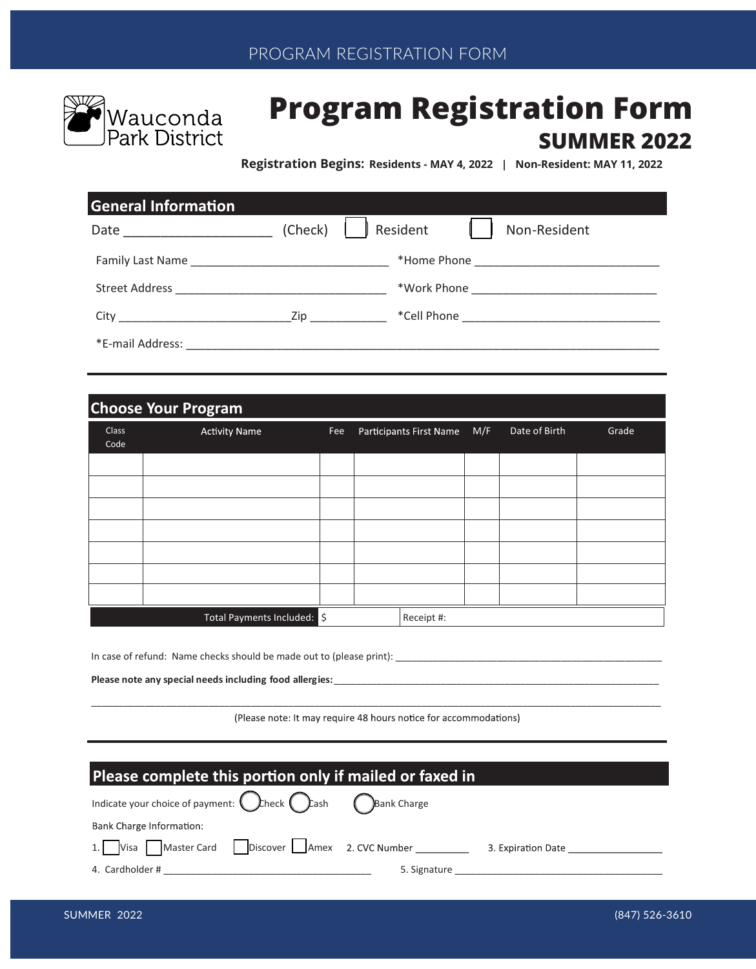

# **Program Registration Form SUMMER 2022**

**Registration Begins: Residents - MAY 4, 2022 | Non-Resident: MAY 11, 2022**

| <b>General Information</b>           |         |                          |
|--------------------------------------|---------|--------------------------|
|                                      | (Check) | Resident<br>Non-Resident |
|                                      |         |                          |
|                                      |         |                          |
| City <u>City City City City City</u> |         |                          |
|                                      |         |                          |

| <b>Choose Your Program</b> |                             |     |  |                         |     |               |       |
|----------------------------|-----------------------------|-----|--|-------------------------|-----|---------------|-------|
| <b>Class</b><br>Code       | <b>Activity Name</b>        | Fee |  | Participants First Name | M/F | Date of Birth | Grade |
|                            |                             |     |  |                         |     |               |       |
|                            |                             |     |  |                         |     |               |       |
|                            |                             |     |  |                         |     |               |       |
|                            |                             |     |  |                         |     |               |       |
|                            |                             |     |  |                         |     |               |       |
|                            |                             |     |  |                         |     |               |       |
|                            |                             |     |  |                         |     |               |       |
|                            | Total Payments Included: \$ |     |  | Receipt #:              |     |               |       |

In case of refund: Name checks should be made out to (please print): \_\_\_\_\_\_\_\_\_\_\_\_\_\_\_\_\_\_\_\_\_\_\_\_\_\_\_\_\_\_\_\_\_\_\_\_\_\_\_\_\_\_\_\_\_\_\_\_\_\_

Please note any special needs including food allergies: \_\_\_\_

 $\mathcal{L}_\text{max} = \frac{1}{2} \sum_{i=1}^n \mathcal{L}_\text{max} = \frac{1}{2} \sum_{i=1}^n \mathcal{L}_\text{max} = \frac{1}{2} \sum_{i=1}^n \mathcal{L}_\text{max} = \frac{1}{2} \sum_{i=1}^n \mathcal{L}_\text{max} = \frac{1}{2} \sum_{i=1}^n \mathcal{L}_\text{max} = \frac{1}{2} \sum_{i=1}^n \mathcal{L}_\text{max} = \frac{1}{2} \sum_{i=1}^n \mathcal{L}_\text{max} = \frac{1}{2} \sum_{i=$ (Please note: It may require 48 hours notice for accommodations)

| Please complete this portion only if mailed or faxed in                                |  |                                                                                                                 |                                  |  |
|----------------------------------------------------------------------------------------|--|-----------------------------------------------------------------------------------------------------------------|----------------------------------|--|
| Indicate your choice of payment: $\bigcirc$ heck $\bigcirc$ ash $\bigcirc$ Bank Charge |  |                                                                                                                 |                                  |  |
| Bank Charge Information:                                                               |  |                                                                                                                 |                                  |  |
| 1. Visa Master Card Discover Amex 2. CVC Number                                        |  |                                                                                                                 | 3. Expiration Date _____________ |  |
| 4. Cardholder #                                                                        |  | 5. Signature but the same state of the state of the state of the state of the state of the state of the state o |                                  |  |